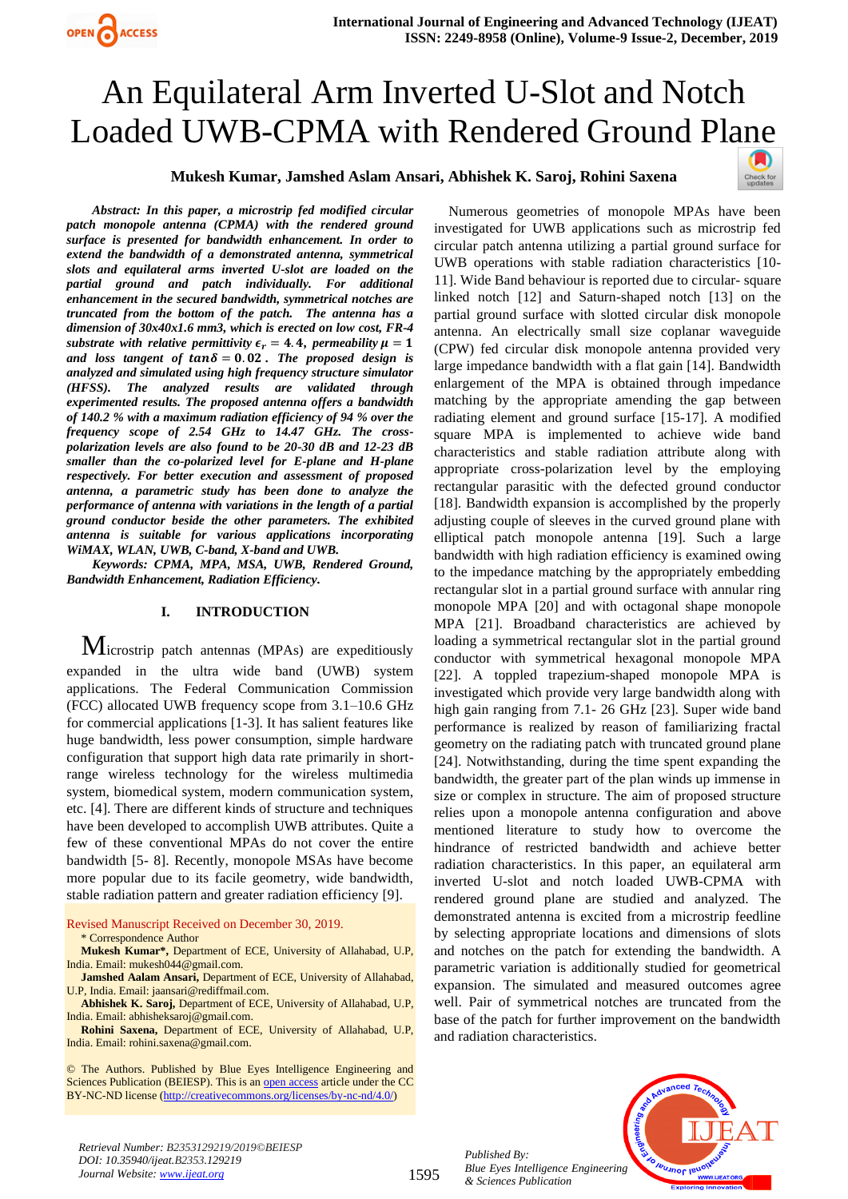

# An Equilateral Arm Inverted U-Slot and Notch Loaded UWB-CPMA with Rendered Ground Pl[ane](https://crossmark.crossref.org/dialog/?doi=10.35940/ijeat.B2353.129219&domain=www.ijeat.org)

## **Mukesh Kumar, Jamshed Aslam Ansari, Abhishek K. Saroj, Rohini Saxena**



*Abstract: In this paper, a microstrip fed modified circular patch monopole antenna (CPMA) with the rendered ground surface is presented for bandwidth enhancement. In order to extend the bandwidth of a demonstrated antenna, symmetrical slots and equilateral arms inverted U-slot are loaded on the partial ground and patch individually. For additional enhancement in the secured bandwidth, symmetrical notches are truncated from the bottom of the patch. The antenna has a dimension of 30x40x1.6 mm3, which is erected on low cost, FR-4 substrate with relative permittivity*  $\epsilon_r = 4.4$ *, permeability*  $\mu = 1$ and loss tangent of  $tan \delta = 0.02$ . The proposed design is *analyzed and simulated using high frequency structure simulator (HFSS). The analyzed results are validated through experimented results. The proposed antenna offers a bandwidth of 140.2 % with a maximum radiation efficiency of 94 % over the frequency scope of 2.54 GHz to 14.47 GHz. The crosspolarization levels are also found to be 20-30 dB and 12-23 dB smaller than the co-polarized level for E-plane and H-plane respectively. For better execution and assessment of proposed antenna, a parametric study has been done to analyze the performance of antenna with variations in the length of a partial ground conductor beside the other parameters. The exhibited antenna is suitable for various applications incorporating WiMAX, WLAN, UWB, C-band, X-band and UWB.*

*Keywords: CPMA, MPA, MSA, UWB, Rendered Ground, Bandwidth Enhancement, Radiation Efficiency.*

## **I. INTRODUCTION**

Microstrip patch antennas (MPAs) are expeditiously expanded in the ultra wide band (UWB) system applications. The Federal Communication Commission (FCC) allocated UWB frequency scope from 3.1–10.6 GHz for commercial applications [1-3]. It has salient features like huge bandwidth, less power consumption, simple hardware configuration that support high data rate primarily in shortrange wireless technology for the wireless multimedia system, biomedical system, modern communication system, etc. [4]. There are different kinds of structure and techniques have been developed to accomplish UWB attributes. Quite a few of these conventional MPAs do not cover the entire bandwidth [5- 8]. Recently, monopole MSAs have become more popular due to its facile geometry, wide bandwidth, stable radiation pattern and greater radiation efficiency [9].

Revised Manuscript Received on December 30, 2019. \* Correspondence Author

**Mukesh Kumar\*,** Department of ECE, University of Allahabad, U.P, India. Email[: mukesh044@gmail.com.](mailto:mukesh044@gmail.com) 

**Jamshed Aalam Ansari,** Department of ECE, University of Allahabad, U.P, India. Email: [jaansari@rediffmail.com.](mailto:jaansari@rediffmail.com) 

**Abhishek K. Saroj,** Department of ECE, University of Allahabad, U.P, India. Email[: abhisheksaroj@gmail.com.](mailto:abhisheksaroj@gmail.com)

**Rohini Saxena,** Department of ECE, University of Allahabad, U.P, India. Email[: rohini.saxena@gmail.com.](mailto:rohini.saxena@gmail.com) 

© The Authors. Published by Blue Eyes Intelligence Engineering and Sciences Publication (BEIESP). This is a[n open access](https://www.openaccess.nl/en/open-publications) article under the CC BY-NC-ND license [\(http://creativecommons.org/licenses/by-nc-nd/4.0/\)](http://creativecommons.org/licenses/by-nc-nd/4.0/)

Numerous geometries of monopole MPAs have been investigated for UWB applications such as microstrip fed circular patch antenna utilizing a partial ground surface for UWB operations with stable radiation characteristics [10- 11]. Wide Band behaviour is reported due to circular- square linked notch [12] and Saturn-shaped notch [13] on the partial ground surface with slotted circular disk monopole antenna. An electrically small size coplanar waveguide (CPW) fed circular disk monopole antenna provided very large impedance bandwidth with a flat gain [14]. Bandwidth enlargement of the MPA is obtained through impedance matching by the appropriate amending the gap between radiating element and ground surface [15-17]. A modified square MPA is implemented to achieve wide band characteristics and stable radiation attribute along with appropriate cross-polarization level by the employing rectangular parasitic with the defected ground conductor [18]. Bandwidth expansion is accomplished by the properly adjusting couple of sleeves in the curved ground plane with elliptical patch monopole antenna [19]. Such a large bandwidth with high radiation efficiency is examined owing to the impedance matching by the appropriately embedding rectangular slot in a partial ground surface with annular ring monopole MPA [20] and with octagonal shape monopole MPA [21]. Broadband characteristics are achieved by loading a symmetrical rectangular slot in the partial ground conductor with symmetrical hexagonal monopole MPA [22]. A toppled trapezium-shaped monopole MPA is investigated which provide very large bandwidth along with high gain ranging from 7.1- 26 GHz [23]. Super wide band performance is realized by reason of familiarizing fractal geometry on the radiating patch with truncated ground plane [24]. Notwithstanding, during the time spent expanding the bandwidth, the greater part of the plan winds up immense in size or complex in structure. The aim of proposed structure relies upon a monopole antenna configuration and above mentioned literature to study how to overcome the hindrance of restricted bandwidth and achieve better radiation characteristics. In this paper, an equilateral arm inverted U-slot and notch loaded UWB-CPMA with rendered ground plane are studied and analyzed. The demonstrated antenna is excited from a microstrip feedline by selecting appropriate locations and dimensions of slots and notches on the patch for extending the bandwidth. A parametric variation is additionally studied for geometrical expansion. The simulated and measured outcomes agree well. Pair of symmetrical notches are truncated from the base of the patch for further improvement on the bandwidth and radiation characteristics.

*Published By: Blue Eyes Intelligence Engineering & Sciences Publication* 



*Retrieval Number: B2353129219/2019©BEIESP DOI: 10.35940/ijeat.B2353.129219 Journal Website[: www.ijeat.org](http://www.ijeat.org/)*

1595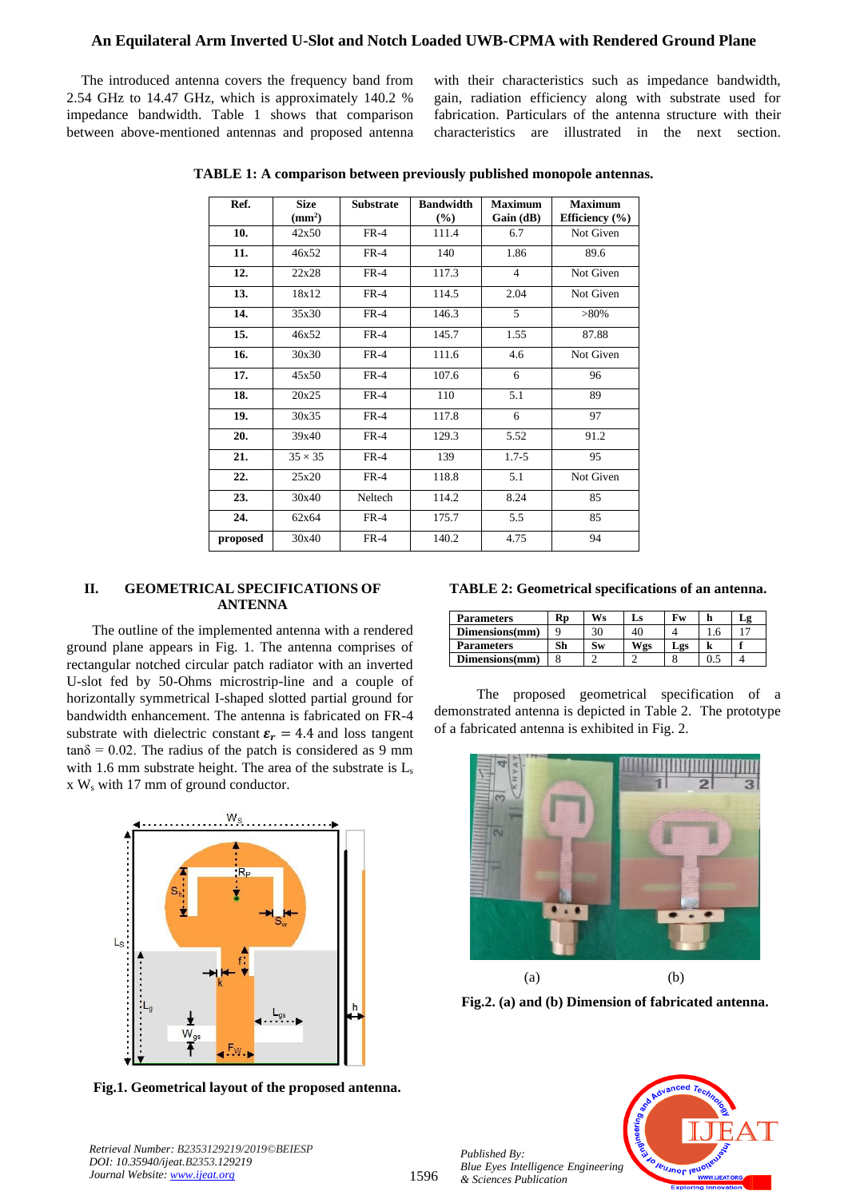## **An Equilateral Arm Inverted U-Slot and Notch Loaded UWB-CPMA with Rendered Ground Plane**

The introduced antenna covers the frequency band from 2.54 GHz to 14.47 GHz, which is approximately 140.2 % impedance bandwidth. Table 1 shows that comparison between above-mentioned antennas and proposed antenna with their characteristics such as impedance bandwidth, gain, radiation efficiency along with substrate used for fabrication. Particulars of the antenna structure with their characteristics are illustrated in the next section.

| Ref.     | <b>Size</b>        | <b>Substrate</b> | <b>Bandwidth</b> | <b>Maximum</b> | <b>Maximum</b>     |  |
|----------|--------------------|------------------|------------------|----------------|--------------------|--|
|          | (mm <sup>2</sup> ) |                  | (%)              | Gain (dB)      | Efficiency $(\% )$ |  |
| 10.      | 42x50              | $FR-4$           | 111.4            | 6.7            | Not Given          |  |
| 11.      | 46x52              | $FR-4$           | 140              | 1.86           | 89.6               |  |
| 12.      | 22x28              | $FR-4$           | 117.3            | $\overline{4}$ | Not Given          |  |
| 13.      | 18x12              | $FR-4$           | 114.5            | 2.04           | Not Given          |  |
| 14.      | 35x30              | $FR-4$           | 146.3            | 5              | $>80\%$            |  |
| 15.      | 46x52              | $FR-4$           | 145.7            | 1.55           | 87.88              |  |
| 16.      | 30x30              | $FR-4$           | 111.6            | 4.6            | Not Given          |  |
| 17.      | 45x50              | $FR-4$           | 107.6            | 6              | 96                 |  |
| 18.      | 20x25              | $FR-4$           | 110              | 5.1            | 89                 |  |
| 19.      | 30x35              | $FR-4$           | 117.8            | 6              | 97                 |  |
| 20.      | 39x40              | $FR-4$           | 129.3            | 5.52           | 91.2               |  |
| 21.      | $35 \times 35$     | $FR-4$           | 139              | $1.7 - 5$      | 95                 |  |
| 22.      | 25x20              | $FR-4$           | 118.8            | 5.1            | Not Given          |  |
| 23.      | 30x40              | Neltech          | 114.2            | 8.24           | 85                 |  |
| 24.      | 62x64              | $FR-4$           | 175.7            | 5.5            | 85                 |  |
| proposed | 30x40              | $FR-4$           | 140.2            | 4.75           | 94                 |  |

**TABLE 1: A comparison between previously published monopole antennas.**

## **II. GEOMETRICAL SPECIFICATIONS OF ANTENNA**

The outline of the implemented antenna with a rendered ground plane appears in Fig. 1. The antenna comprises of rectangular notched circular patch radiator with an inverted U-slot fed by 50-Ohms microstrip-line and a couple of horizontally symmetrical I-shaped slotted partial ground for bandwidth enhancement. The antenna is fabricated on FR-4 substrate with dielectric constant  $\varepsilon_r = 4.4$  and loss tangent  $tan\delta = 0.02$ . The radius of the patch is considered as 9 mm with 1.6 mm substrate height. The area of the substrate is  $L_s$ x W<sup>s</sup> with 17 mm of ground conductor.



**Fig.1. Geometrical layout of the proposed antenna.**

|  |  |  | TABLE 2: Geometrical specifications of an antenna. |  |  |
|--|--|--|----------------------------------------------------|--|--|
|--|--|--|----------------------------------------------------|--|--|

| <b>Parameters</b> | кr | Ws | Ls  | Fw  |     | Δ2 |
|-------------------|----|----|-----|-----|-----|----|
| Dimensions(mm)    |    | 30 | 40  |     | .0. |    |
| <b>Parameters</b> | Sh | Sw | Wgs | Lgs |     |    |
| Dimensions(mm)    |    |    |     |     |     |    |

The proposed geometrical specification of a demonstrated antenna is depicted in Table 2. The prototype of a fabricated antenna is exhibited in Fig. 2.



**Fig.2. (a) and (b) Dimension of fabricated antenna.**



*Retrieval Number: B2353129219/2019©BEIESP DOI: 10.35940/ijeat.B2353.129219 Journal Website[: www.ijeat.org](http://www.ijeat.org/)*

*Published By:*

*& Sciences Publication*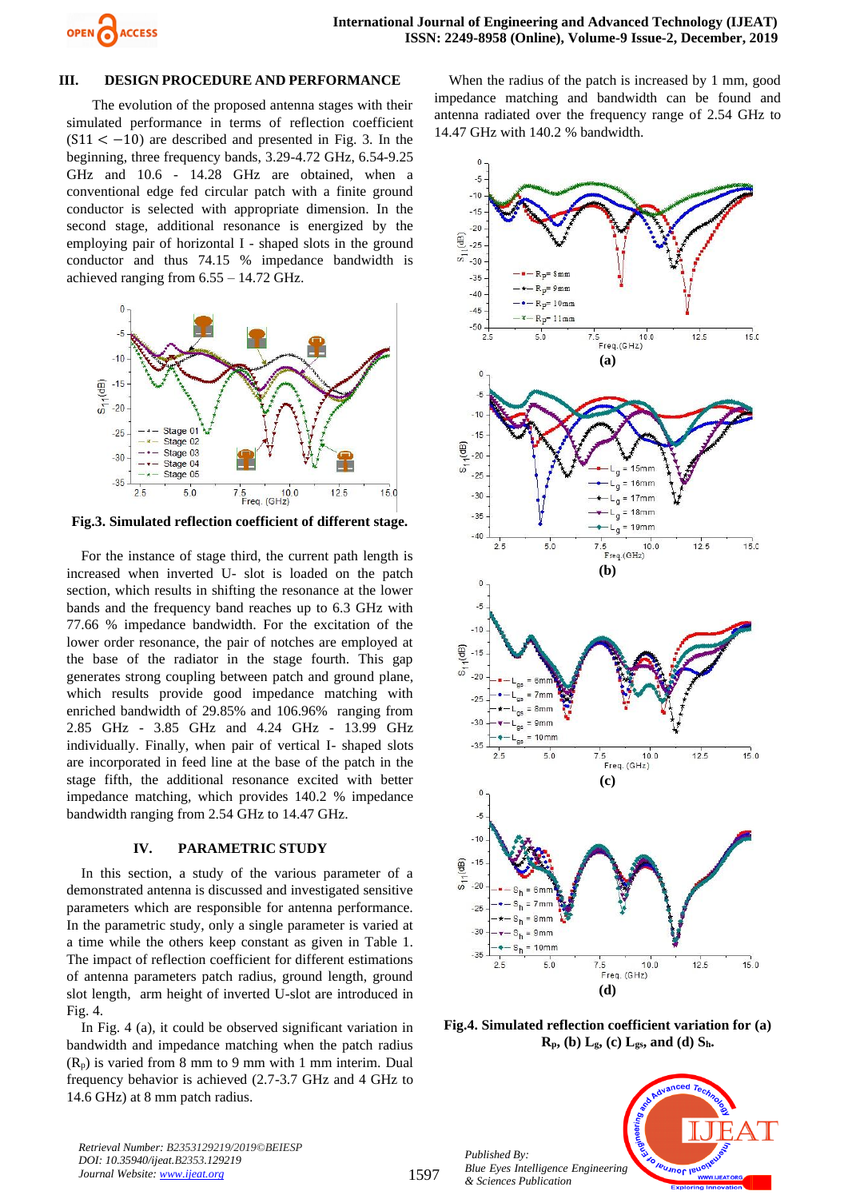

#### **III. DESIGN PROCEDURE AND PERFORMANCE**

The evolution of the proposed antenna stages with their simulated performance in terms of reflection coefficient  $(S11 < -10)$  are described and presented in Fig. 3. In the beginning, three frequency bands, 3.29-4.72 GHz, 6.54-9.25 GHz and 10.6 - 14.28 GHz are obtained, when a conventional edge fed circular patch with a finite ground conductor is selected with appropriate dimension. In the second stage, additional resonance is energized by the employing pair of horizontal I - shaped slots in the ground conductor and thus 74.15 % impedance bandwidth is achieved ranging from 6.55 – 14.72 GHz.



**Fig.3. Simulated reflection coefficient of different stage.**

For the instance of stage third, the current path length is increased when inverted U- slot is loaded on the patch section, which results in shifting the resonance at the lower bands and the frequency band reaches up to 6.3 GHz with 77.66 % impedance bandwidth. For the excitation of the lower order resonance, the pair of notches are employed at the base of the radiator in the stage fourth. This gap generates strong coupling between patch and ground plane, which results provide good impedance matching with enriched bandwidth of 29.85% and 106.96% ranging from 2.85 GHz - 3.85 GHz and 4.24 GHz - 13.99 GHz individually. Finally, when pair of vertical I- shaped slots are incorporated in feed line at the base of the patch in the stage fifth, the additional resonance excited with better impedance matching, which provides 140.2 % impedance bandwidth ranging from 2.54 GHz to 14.47 GHz.

## **IV. PARAMETRIC STUDY**

In this section, a study of the various parameter of a demonstrated antenna is discussed and investigated sensitive parameters which are responsible for antenna performance. In the parametric study, only a single parameter is varied at a time while the others keep constant as given in Table 1. The impact of reflection coefficient for different estimations of antenna parameters patch radius, ground length, ground slot length, arm height of inverted U-slot are introduced in Fig. 4.

In Fig. 4 (a), it could be observed significant variation in bandwidth and impedance matching when the patch radius  $(R_p)$  is varied from 8 mm to 9 mm with 1 mm interim. Dual frequency behavior is achieved (2.7-3.7 GHz and 4 GHz to 14.6 GHz) at 8 mm patch radius.

When the radius of the patch is increased by 1 mm, good impedance matching and bandwidth can be found and antenna radiated over the frequency range of 2.54 GHz to 14.47 GHz with 140.2 % bandwidth.



**Fig.4. Simulated reflection coefficient variation for (a)**   $\mathbf{R}_{\mathbf{p}}$ , (b)  $\mathbf{L}_{\mathbf{g}}$ , (c)  $\mathbf{L}_{\mathbf{g}\mathbf{s}}$ , and (d)  $\mathbf{S}_{\mathbf{h}}$ .

*ual Journ*,

*Retrieval Number: B2353129219/2019©BEIESP DOI: 10.35940/ijeat.B2353.129219 Journal Website[: www.ijeat.org](http://www.ijeat.org/)*

1597

*Published By: Blue Eyes Intelligence Engineering & Sciences Publication*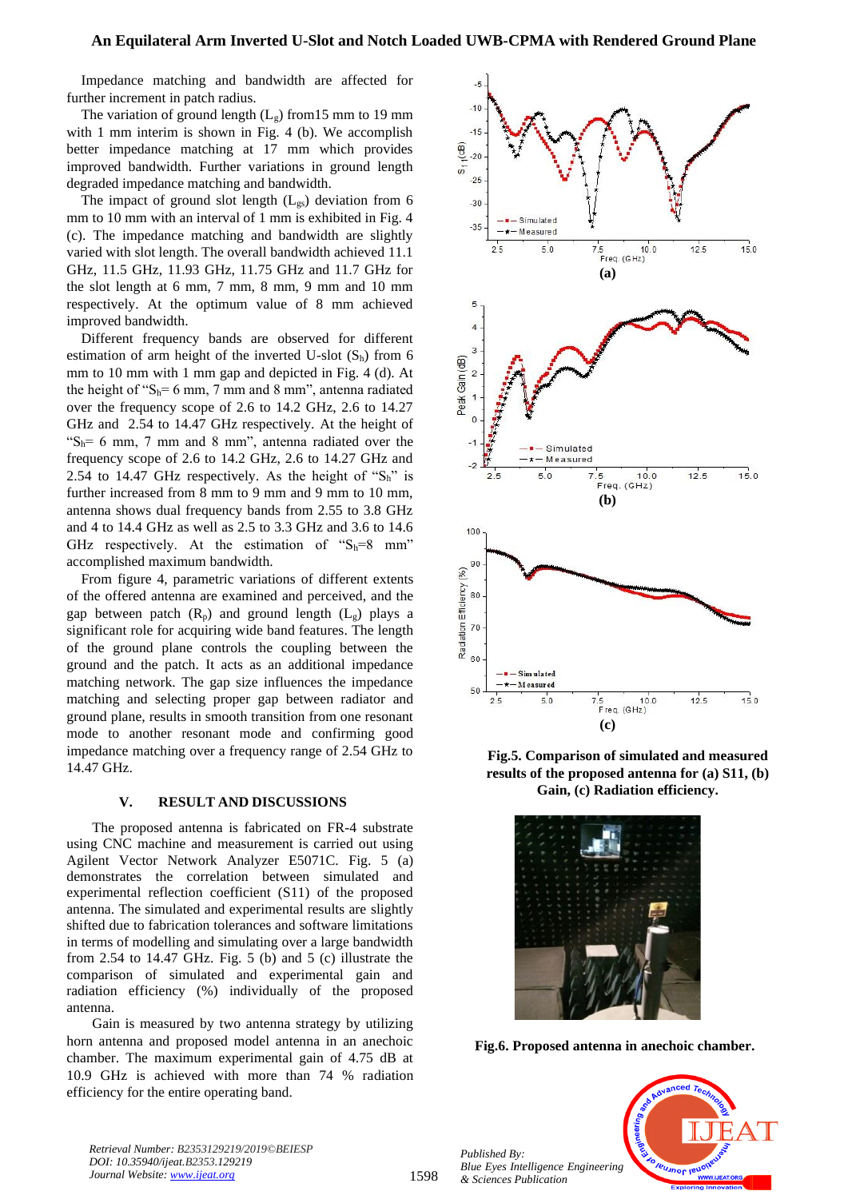Impedance matching and bandwidth are affected for further increment in patch radius.

The variation of ground length  $(L_g)$  from 15 mm to 19 mm with 1 mm interim is shown in Fig. 4 (b). We accomplish better impedance matching at 17 mm which provides improved bandwidth. Further variations in ground length degraded impedance matching and bandwidth.

The impact of ground slot length  $(L_{gs})$  deviation from 6 mm to 10 mm with an interval of 1 mm is exhibited in Fig. 4 (c). The impedance matching and bandwidth are slightly varied with slot length. The overall bandwidth achieved 11.1 GHz, 11.5 GHz, 11.93 GHz, 11.75 GHz and 11.7 GHz for the slot length at 6 mm, 7 mm, 8 mm, 9 mm and 10 mm respectively. At the optimum value of 8 mm achieved improved bandwidth.

Different frequency bands are observed for different estimation of arm height of the inverted U-slot  $(S_h)$  from 6 mm to 10 mm with 1 mm gap and depicted in Fig. 4 (d). At the height of " $S_h$ = 6 mm, 7 mm and 8 mm", antenna radiated over the frequency scope of 2.6 to 14.2 GHz, 2.6 to 14.27 GHz and 2.54 to 14.47 GHz respectively. At the height of " $S_h$ = 6 mm, 7 mm and 8 mm", antenna radiated over the frequency scope of 2.6 to 14.2 GHz, 2.6 to 14.27 GHz and 2.54 to 14.47 GHz respectively. As the height of " $S_h$ " is further increased from 8 mm to 9 mm and 9 mm to 10 mm, antenna shows dual frequency bands from 2.55 to 3.8 GHz and 4 to 14.4 GHz as well as 2.5 to 3.3 GHz and 3.6 to 14.6 GHz respectively. At the estimation of " $S_h=8$  mm" accomplished maximum bandwidth.

From figure 4, parametric variations of different extents of the offered antenna are examined and perceived, and the gap between patch  $(R_p)$  and ground length  $(L_g)$  plays a significant role for acquiring wide band features. The length of the ground plane controls the coupling between the ground and the patch. It acts as an additional impedance matching network. The gap size influences the impedance matching and selecting proper gap between radiator and ground plane, results in smooth transition from one resonant mode to another resonant mode and confirming good impedance matching over a frequency range of 2.54 GHz to 14.47 GHz.

#### **V. RESULT AND DISCUSSIONS**

The proposed antenna is fabricated on FR-4 substrate using CNC machine and measurement is carried out using Agilent Vector Network Analyzer E5071C. Fig. 5 (a) demonstrates the correlation between simulated and experimental reflection coefficient (S11) of the proposed antenna. The simulated and experimental results are slightly shifted due to fabrication tolerances and software limitations in terms of modelling and simulating over a large bandwidth from 2.54 to 14.47 GHz. Fig. 5 (b) and 5 (c) illustrate the comparison of simulated and experimental gain and radiation efficiency (%) individually of the proposed antenna.

Gain is measured by two antenna strategy by utilizing horn antenna and proposed model antenna in an anechoic chamber. The maximum experimental gain of 4.75 dB at 10.9 GHz is achieved with more than 74 % radiation efficiency for the entire operating band.



**Fig.5. Comparison of simulated and measured results of the proposed antenna for (a) S11, (b) Gain, (c) Radiation efficiency.**



**Fig.6. Proposed antenna in anechoic chamber.**

*Published By: Blue Eyes Intelligence Engineering & Sciences Publication* 



*Retrieval Number: B2353129219/2019©BEIESP DOI: 10.35940/ijeat.B2353.129219 Journal Website[: www.ijeat.org](http://www.ijeat.org/)*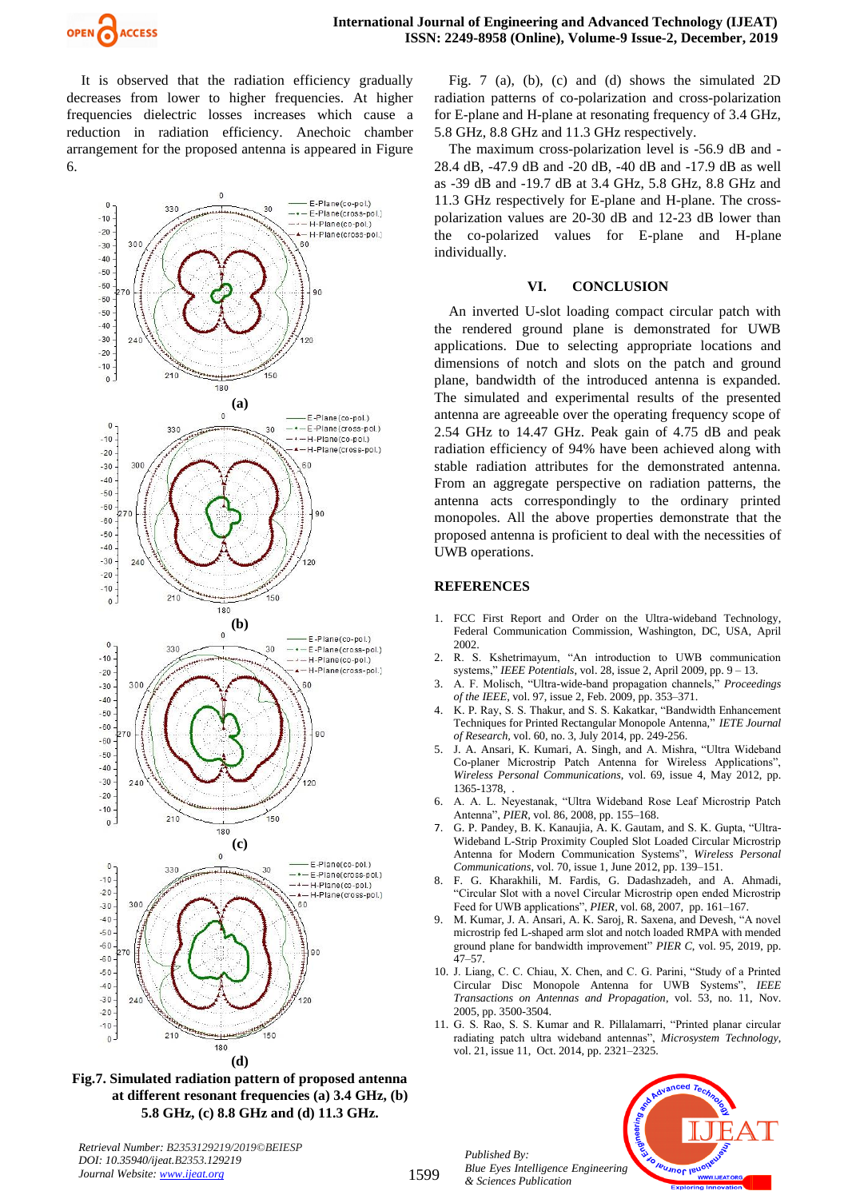

It is observed that the radiation efficiency gradually decreases from lower to higher frequencies. At higher frequencies dielectric losses increases which cause a reduction in radiation efficiency. Anechoic chamber arrangement for the proposed antenna is appeared in Figure 6.



**Fig.7. Simulated radiation pattern of proposed antenna at different resonant frequencies (a) 3.4 GHz, (b) 5.8 GHz, (c) 8.8 GHz and (d) 11.3 GHz.**

Fig. 7 (a), (b), (c) and (d) shows the simulated 2D radiation patterns of co-polarization and cross-polarization for E-plane and H-plane at resonating frequency of 3.4 GHz, 5.8 GHz, 8.8 GHz and 11.3 GHz respectively.

The maximum cross-polarization level is -56.9 dB and - 28.4 dB, -47.9 dB and -20 dB, -40 dB and -17.9 dB as well as -39 dB and -19.7 dB at 3.4 GHz, 5.8 GHz, 8.8 GHz and 11.3 GHz respectively for E-plane and H-plane. The crosspolarization values are 20-30 dB and 12-23 dB lower than the co-polarized values for E-plane and H-plane individually.

#### **VI. CONCLUSION**

An inverted U-slot loading compact circular patch with the rendered ground plane is demonstrated for UWB applications. Due to selecting appropriate locations and dimensions of notch and slots on the patch and ground plane, bandwidth of the introduced antenna is expanded. The simulated and experimental results of the presented antenna are agreeable over the operating frequency scope of 2.54 GHz to 14.47 GHz. Peak gain of 4.75 dB and peak radiation efficiency of 94% have been achieved along with stable radiation attributes for the demonstrated antenna. From an aggregate perspective on radiation patterns, the antenna acts correspondingly to the ordinary printed monopoles. All the above properties demonstrate that the proposed antenna is proficient to deal with the necessities of UWB operations.

#### **REFERENCES**

- 1. FCC First Report and Order on the Ultra-wideband Technology, Federal Communication Commission, Washington, DC, USA, April 2002.
- 2. R. S. Kshetrimayum, "An introduction to UWB communication systems," *IEEE Potentials*, vol. 28, issue 2, April 2009, pp. 9 – 13.
- 3. A. F. Molisch, "Ultra-wide-band propagation channels," *Proceedings of the IEEE*, vol. 97, issue 2, Feb. 2009, pp. 353–371.
- 4. K. P. Ray, S. S. Thakur, and S. S. Kakatkar, "Bandwidth Enhancement Techniques for Printed Rectangular Monopole Antenna," *IETE Journal of Research,* vol. 60, no. 3, July 2014, pp. 249-256.
- 5. J. A. Ansari, K. Kumari, A. Singh, and A. Mishra, "Ultra Wideband Co-planer Microstrip Patch Antenna for Wireless Applications", *Wireless Personal Communications*, vol. 69, issue 4, May 2012, pp. 1365-1378, .
- 6. A. A. L. Neyestanak, "Ultra Wideband Rose Leaf Microstrip Patch Antenna", *PIER*, vol. 86, 2008, pp. 155–168.
- 7. G. P. Pandey, B. K. Kanaujia, A. K. Gautam, and S. K. Gupta, "Ultra-Wideband L-Strip Proximity Coupled Slot Loaded Circular Microstrip Antenna for Modern Communication Systems", *Wireless Personal Communications*, vol. 70, issue 1, June 2012, pp. 139–151.
- 8. F. G. Kharakhili, M. Fardis, G. Dadashzadeh, and A. Ahmadi, "Circular Slot with a novel Circular Microstrip open ended Microstrip Feed for UWB applications", *PIER*, vol. 68, 2007, pp. 161–167.
- 9. M. Kumar, J. A. Ansari, A. K. Saroj, R. Saxena, and Devesh, "A novel microstrip fed L-shaped arm slot and notch loaded RMPA with mended ground plane for bandwidth improvement" *PIER C*, vol. 95, 2019, pp. 47–57.
- 10. J. Liang, C. C. Chiau, X. Chen, and C. G. Parini, "Study of a Printed Circular Disc Monopole Antenna for UWB Systems", *IEEE Transactions on Antennas and Propagation*, vol. 53, no. 11, Nov. 2005, pp. 3500-3504.
- 11. G. S. Rao, S. S. Kumar and R. Pillalamarri, "Printed planar circular radiating patch ultra wideband antennas", *Microsystem Technology*, vol. 21, issue 11, Oct. 2014, pp. 2321–2325.

*Published By: Blue Eyes Intelligence Engineering & Sciences Publication* 



*Retrieval Number: B2353129219/2019©BEIESP DOI: 10.35940/ijeat.B2353.129219 Journal Website[: www.ijeat.org](http://www.ijeat.org/)*